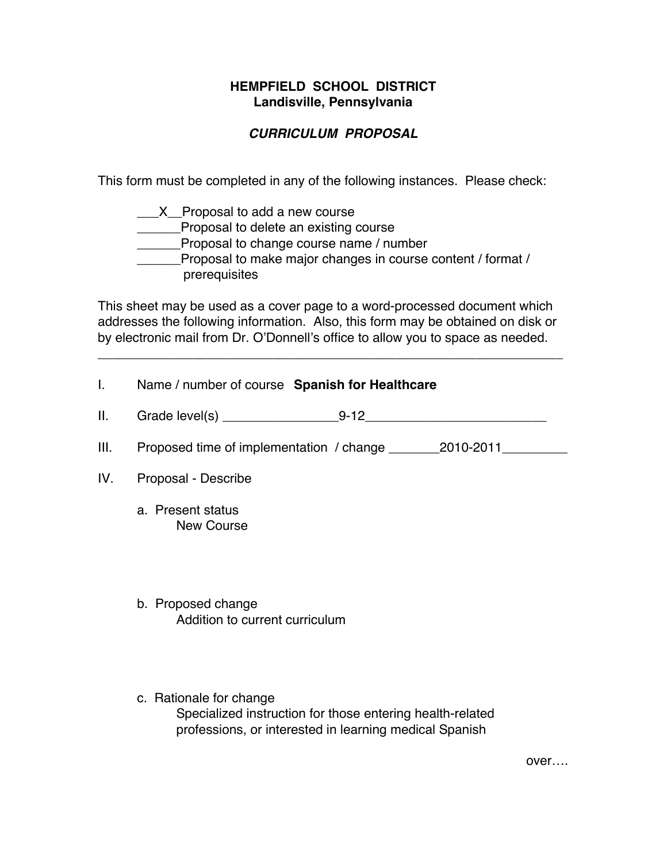#### **HEMPFIELD SCHOOL DISTRICT Landisville, Pennsylvania**

# *CURRICULUM PROPOSAL*

This form must be completed in any of the following instances. Please check:

| $X$ Proposal to add a new course                                             |  |
|------------------------------------------------------------------------------|--|
| Proposal to delete an existing course                                        |  |
| Proposal to change course name / number                                      |  |
| Proposal to make major changes in course content / format /<br>prerequisites |  |

This sheet may be used as a cover page to a word-processed document which addresses the following information. Also, this form may be obtained on disk or by electronic mail from Dr. O'Donnell's office to allow you to space as needed.

\_\_\_\_\_\_\_\_\_\_\_\_\_\_\_\_\_\_\_\_\_\_\_\_\_\_\_\_\_\_\_\_\_\_\_\_\_\_\_\_\_\_\_\_\_\_\_\_\_\_\_\_\_\_\_\_\_\_\_\_\_\_\_\_

| L.   | Name / number of course Spanish for Healthcare       |
|------|------------------------------------------------------|
| II.  |                                                      |
| III. |                                                      |
| IV.  | Proposal - Describe                                  |
|      | a. Present status<br><b>New Course</b>               |
|      | b. Proposed change<br>Addition to current curriculum |

c. Rationale for change Specialized instruction for those entering health-related professions, or interested in learning medical Spanish

over….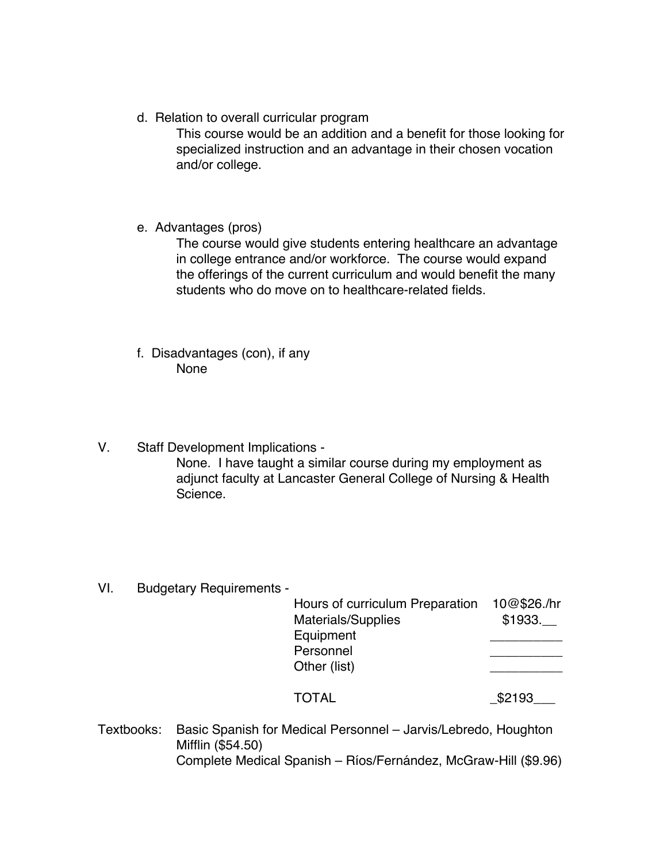d. Relation to overall curricular program

This course would be an addition and a benefit for those looking for specialized instruction and an advantage in their chosen vocation and/or college.

e. Advantages (pros)

The course would give students entering healthcare an advantage in college entrance and/or workforce. The course would expand the offerings of the current curriculum and would benefit the many students who do move on to healthcare-related fields.

- f. Disadvantages (con), if any None
- V. Staff Development Implications None. I have taught a similar course during my employment as adjunct faculty at Lancaster General College of Nursing & Health Science.
- VI. Budgetary Requirements -

|              | Hours of curriculum Preparation | 10@\$26./hr |
|--------------|---------------------------------|-------------|
|              | <b>Materials/Supplies</b>       | \$1933.     |
| Equipment    |                                 |             |
| Personnel    |                                 |             |
| Other (list) |                                 |             |
| TOTAL        |                                 | \$2193      |

Textbooks: Basic Spanish for Medical Personnel – Jarvis/Lebredo, Houghton Mifflin (\$54.50) Complete Medical Spanish – Ríos/Fernández, McGraw-Hill (\$9.96)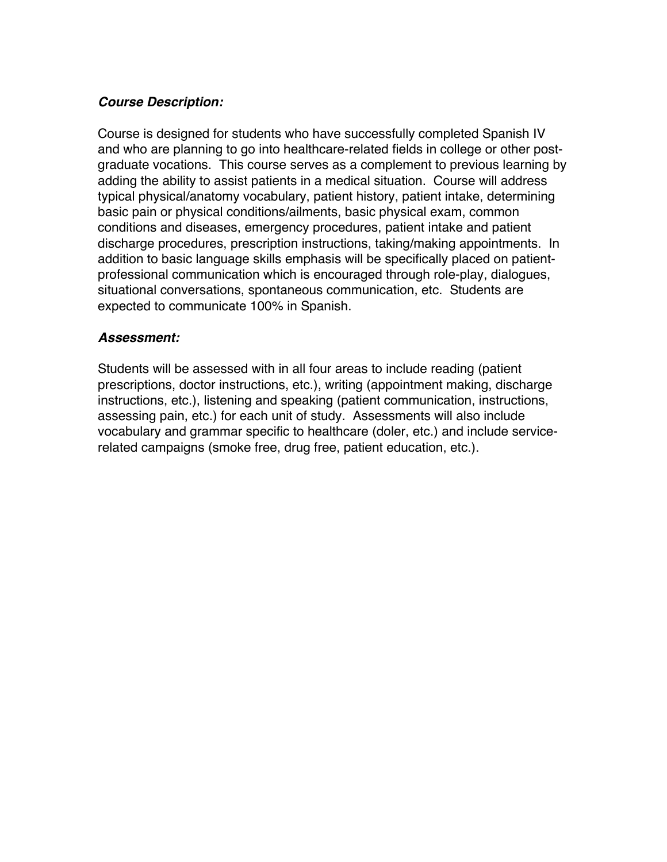## *Course Description:*

Course is designed for students who have successfully completed Spanish IV and who are planning to go into healthcare-related fields in college or other postgraduate vocations. This course serves as a complement to previous learning by adding the ability to assist patients in a medical situation. Course will address typical physical/anatomy vocabulary, patient history, patient intake, determining basic pain or physical conditions/ailments, basic physical exam, common conditions and diseases, emergency procedures, patient intake and patient discharge procedures, prescription instructions, taking/making appointments. In addition to basic language skills emphasis will be specifically placed on patientprofessional communication which is encouraged through role-play, dialogues, situational conversations, spontaneous communication, etc. Students are expected to communicate 100% in Spanish.

## *Assessment:*

Students will be assessed with in all four areas to include reading (patient prescriptions, doctor instructions, etc.), writing (appointment making, discharge instructions, etc.), listening and speaking (patient communication, instructions, assessing pain, etc.) for each unit of study. Assessments will also include vocabulary and grammar specific to healthcare (doler, etc.) and include servicerelated campaigns (smoke free, drug free, patient education, etc.).